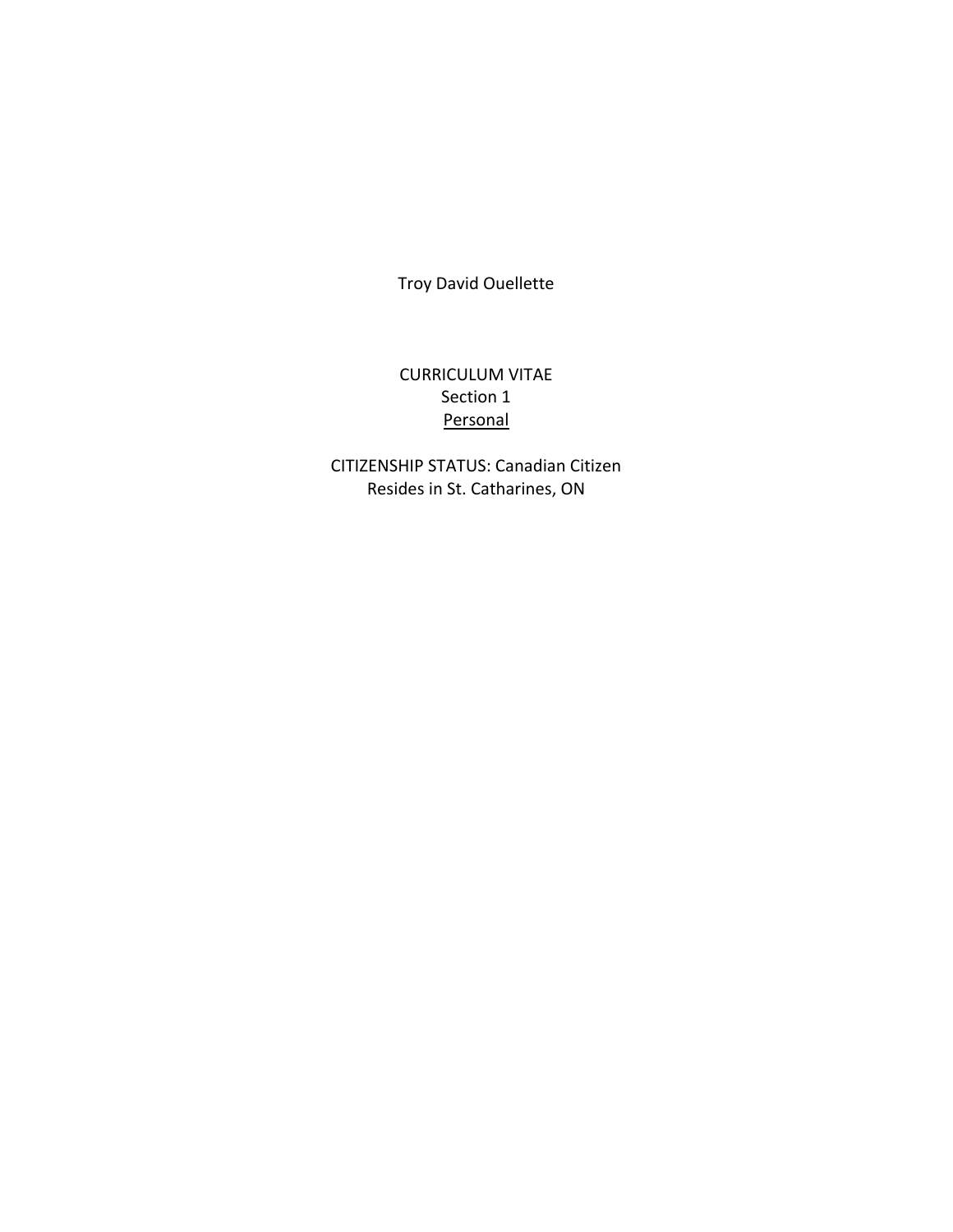Troy David Ouellette

# CURRICULUM VITAE Section 1 **Personal**

CITIZENSHIP STATUS: Canadian Citizen Resides in St. Catharines, ON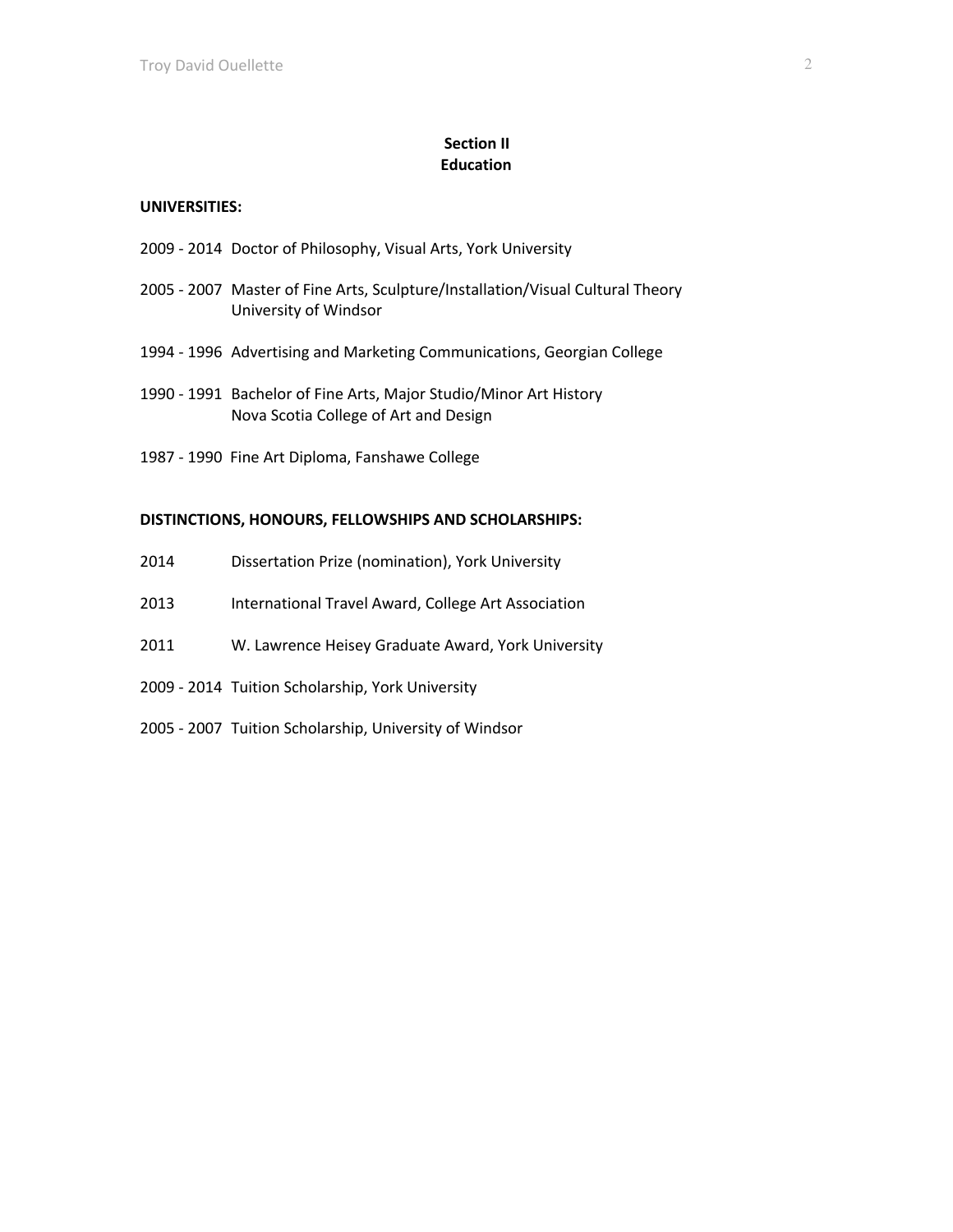# **Section II Education**

#### **UNIVERSITIES:**

- 2009 2014 Doctor of Philosophy, Visual Arts, York University
- 2005 2007 Master of Fine Arts, Sculpture/Installation/Visual Cultural Theory University of Windsor
- 1994 1996 Advertising and Marketing Communications, Georgian College
- 1990 1991 Bachelor of Fine Arts, Major Studio/Minor Art History Nova Scotia College of Art and Design
- 1987 1990 Fine Art Diploma, Fanshawe College

#### **DISTINCTIONS, HONOURS, FELLOWSHIPS AND SCHOLARSHIPS:**

- 2014 Dissertation Prize (nomination), York University
- 2013 International Travel Award, College Art Association
- 2011 W. Lawrence Heisey Graduate Award, York University
- 2009 2014 Tuition Scholarship, York University
- 2005 2007 Tuition Scholarship, University of Windsor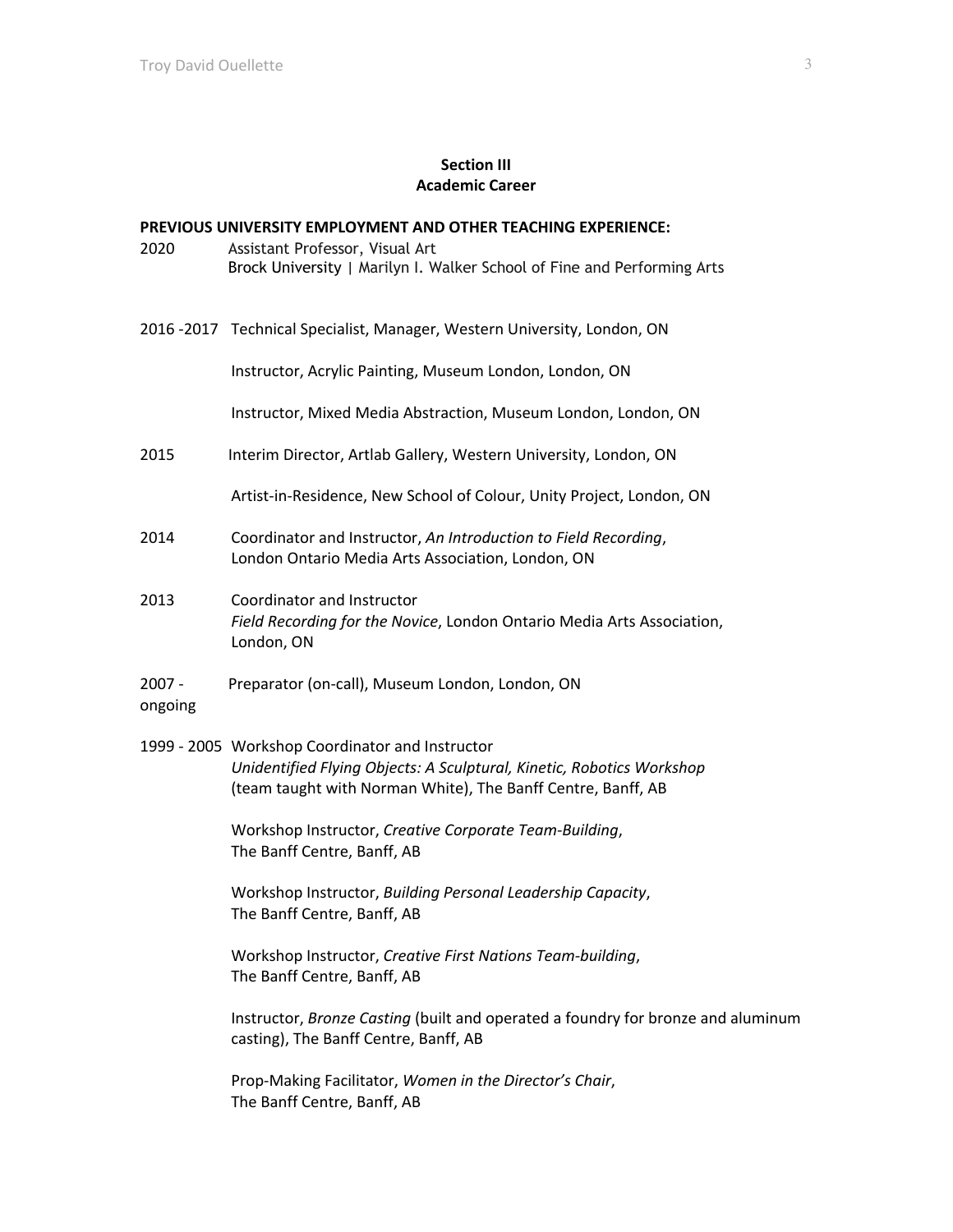### **Section III Academic Career**

#### **PREVIOUS UNIVERSITY EMPLOYMENT AND OTHER TEACHING EXPERIENCE:**

- 2020 Assistant Professor, Visual Art Brock University | Marilyn I. Walker School of Fine and Performing Arts
- 2016 -2017 Technical Specialist, Manager, Western University, London, ON

Instructor, Acrylic Painting, Museum London, London, ON

Instructor, Mixed Media Abstraction, Museum London, London, ON

2015 Interim Director, Artlab Gallery, Western University, London, ON

Artist-in-Residence, New School of Colour, Unity Project, London, ON

- 2014 Coordinator and Instructor, *An Introduction to Field Recording*, London Ontario Media Arts Association, London, ON
- 2013 Coordinator and Instructor *Field Recording for the Novice*, London Ontario Media Arts Association, London, ON

### 2007 - Preparator (on-call), Museum London, London, ON ongoing

1999 - 2005 Workshop Coordinator and Instructor *Unidentified Flying Objects: A Sculptural, Kinetic, Robotics Workshop*  (team taught with Norman White), The Banff Centre, Banff, AB

> Workshop Instructor, *Creative Corporate Team-Building*, The Banff Centre, Banff, AB

Workshop Instructor, *Building Personal Leadership Capacity*, The Banff Centre, Banff, AB

Workshop Instructor, *Creative First Nations Team-building*, The Banff Centre, Banff, AB

Instructor, *Bronze Casting* (built and operated a foundry for bronze and aluminum casting), The Banff Centre, Banff, AB

Prop-Making Facilitator, *Women in the Director's Chair*, The Banff Centre, Banff, AB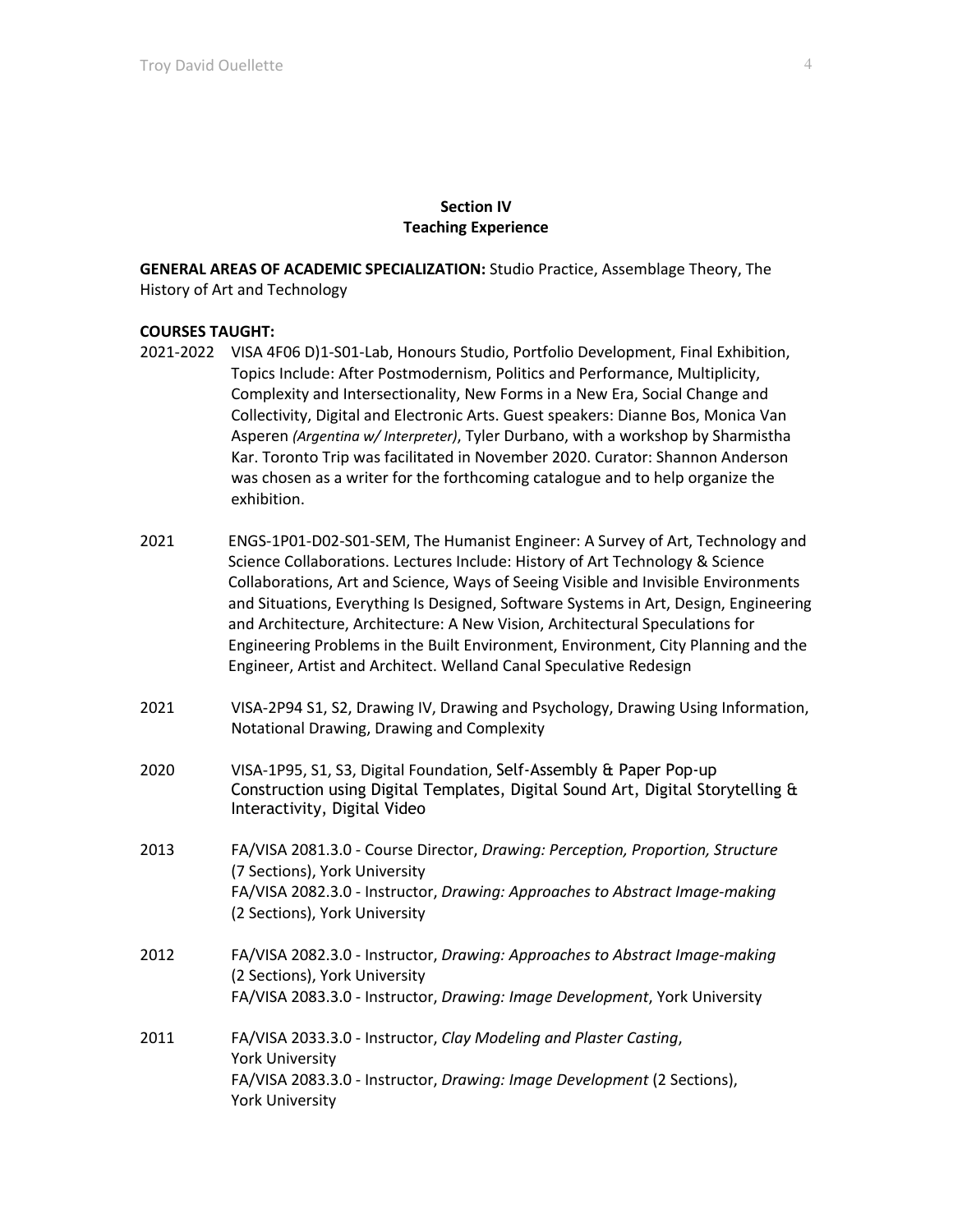### **Section IV Teaching Experience**

**GENERAL AREAS OF ACADEMIC SPECIALIZATION:** Studio Practice, Assemblage Theory, The History of Art and Technology

# **COURSES TAUGHT:**

- 2021-2022 VISA 4F06 D)1-S01-Lab, Honours Studio, Portfolio Development, Final Exhibition, Topics Include: After Postmodernism, Politics and Performance, Multiplicity, Complexity and Intersectionality, New Forms in a New Era, Social Change and Collectivity, Digital and Electronic Arts. Guest speakers: Dianne Bos, Monica Van Asperen *(Argentina w/ Interpreter)*, Tyler Durbano, with a workshop by Sharmistha Kar. Toronto Trip was facilitated in November 2020. Curator: Shannon Anderson was chosen as a writer for the forthcoming catalogue and to help organize the exhibition.
- 2021 ENGS-1P01-D02-S01-SEM, The Humanist Engineer: A Survey of Art, Technology and Science Collaborations. Lectures Include: History of Art Technology & Science Collaborations, Art and Science, Ways of Seeing Visible and Invisible Environments and Situations, Everything Is Designed, Software Systems in Art, Design, Engineering and Architecture, Architecture: A New Vision, Architectural Speculations for Engineering Problems in the Built Environment, Environment, City Planning and the Engineer, Artist and Architect. Welland Canal Speculative Redesign
- 2021 VISA-2P94 S1, S2, Drawing IV, Drawing and Psychology, Drawing Using Information, Notational Drawing, Drawing and Complexity
- 2020 VISA-1P95, S1, S3, Digital Foundation, Self-Assembly & Paper Pop-up Construction using Digital Templates, Digital Sound Art, Digital Storytelling & Interactivity, Digital Video
- 2013 FA/VISA 2081.3.0 Course Director, *Drawing: Perception, Proportion, Structure* (7 Sections), York University FA/VISA 2082.3.0 - Instructor, *Drawing: Approaches to Abstract Image-making* (2 Sections), York University
- 2012 FA/VISA 2082.3.0 Instructor, *Drawing: Approaches to Abstract Image-making* (2 Sections), York University FA/VISA 2083.3.0 - Instructor, *Drawing: Image Development*, York University
- 2011 FA/VISA 2033.3.0 Instructor, *Clay Modeling and Plaster Casting*, York University FA/VISA 2083.3.0 - Instructor, *Drawing: Image Development* (2 Sections), York University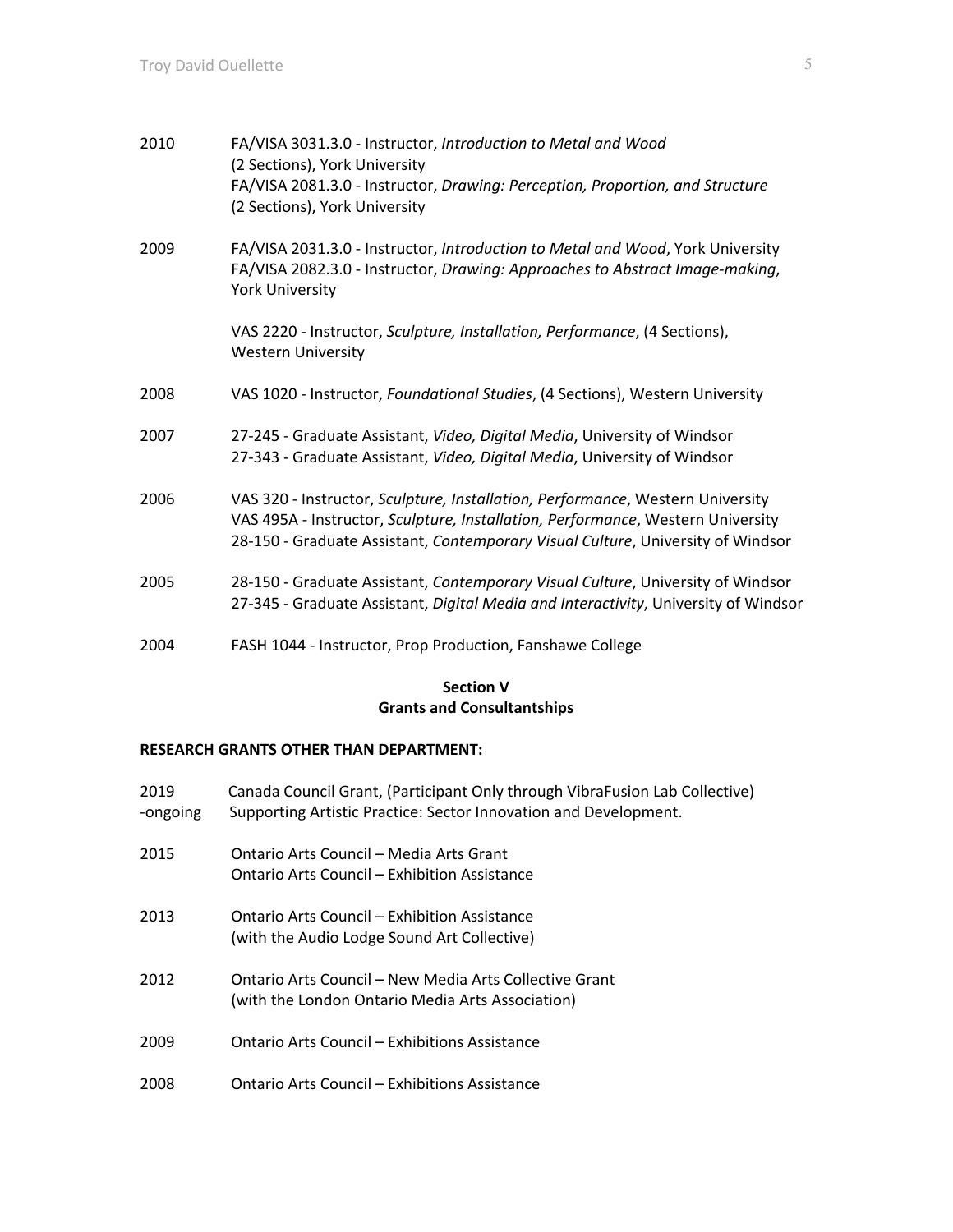| 2010 | FA/VISA 3031.3.0 - Instructor, Introduction to Metal and Wood<br>(2 Sections), York University<br>FA/VISA 2081.3.0 - Instructor, Drawing: Perception, Proportion, and Structure<br>(2 Sections), York University                                     |
|------|------------------------------------------------------------------------------------------------------------------------------------------------------------------------------------------------------------------------------------------------------|
| 2009 | FA/VISA 2031.3.0 - Instructor, Introduction to Metal and Wood, York University<br>FA/VISA 2082.3.0 - Instructor, Drawing: Approaches to Abstract Image-making,<br><b>York University</b>                                                             |
|      | VAS 2220 - Instructor, Sculpture, Installation, Performance, (4 Sections),<br><b>Western University</b>                                                                                                                                              |
| 2008 | VAS 1020 - Instructor, Foundational Studies, (4 Sections), Western University                                                                                                                                                                        |
| 2007 | 27-245 - Graduate Assistant, Video, Digital Media, University of Windsor<br>27-343 - Graduate Assistant, Video, Digital Media, University of Windsor                                                                                                 |
| 2006 | VAS 320 - Instructor, Sculpture, Installation, Performance, Western University<br>VAS 495A - Instructor, Sculpture, Installation, Performance, Western University<br>28-150 - Graduate Assistant, Contemporary Visual Culture, University of Windsor |
| 2005 | 28-150 - Graduate Assistant, Contemporary Visual Culture, University of Windsor<br>27-345 - Graduate Assistant, Digital Media and Interactivity, University of Windsor                                                                               |
| 2004 | FASH 1044 - Instructor, Prop Production, Fanshawe College                                                                                                                                                                                            |

# **Section V Grants and Consultantships**

# **RESEARCH GRANTS OTHER THAN DEPARTMENT:**

| 2019<br>-ongoing | Canada Council Grant, (Participant Only through VibraFusion Lab Collective)<br>Supporting Artistic Practice: Sector Innovation and Development. |
|------------------|-------------------------------------------------------------------------------------------------------------------------------------------------|
| 2015             | Ontario Arts Council – Media Arts Grant<br>Ontario Arts Council – Exhibition Assistance                                                         |
| 2013             | Ontario Arts Council – Exhibition Assistance<br>(with the Audio Lodge Sound Art Collective)                                                     |
| 2012             | Ontario Arts Council – New Media Arts Collective Grant<br>(with the London Ontario Media Arts Association)                                      |
| 2009             | Ontario Arts Council – Exhibitions Assistance                                                                                                   |
| 2008             | Ontario Arts Council – Exhibitions Assistance                                                                                                   |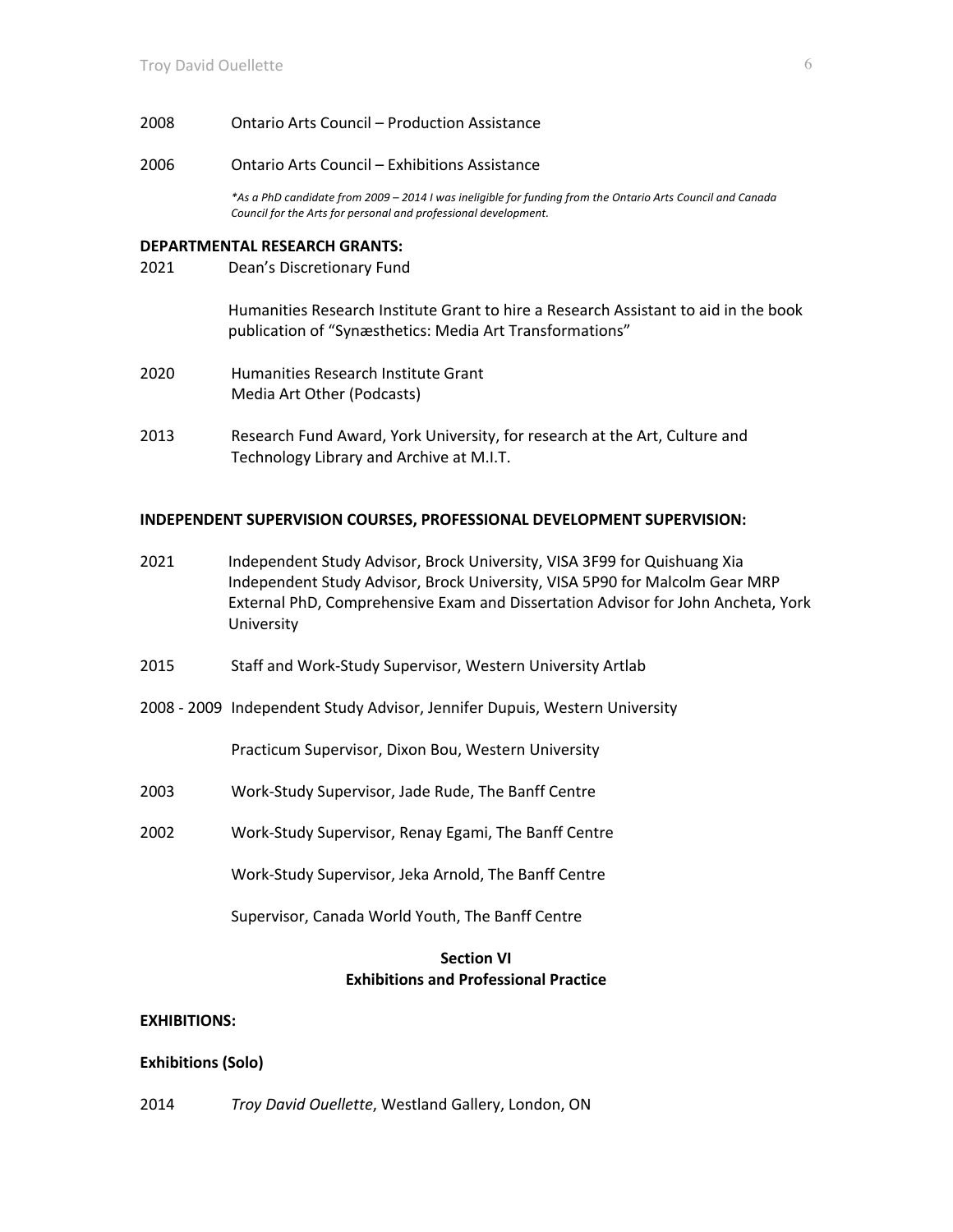- 2008 Ontario Arts Council Production Assistance
- 2006 Ontario Arts Council Exhibitions Assistance

*\*As a PhD candidate from 2009 – 2014 I was ineligible for funding from the Ontario Arts Council and Canada Council for the Arts for personal and professional development.*

#### **DEPARTMENTAL RESEARCH GRANTS:**

2021 Dean's Discretionary Fund

Humanities Research Institute Grant to hire a Research Assistant to aid in the book publication of "Synæsthetics: Media Art Transformations"

- 2020 Humanities Research Institute Grant Media Art Other (Podcasts)
- 2013 Research Fund Award, York University, for research at the Art, Culture and Technology Library and Archive at M.I.T.

#### **INDEPENDENT SUPERVISION COURSES, PROFESSIONAL DEVELOPMENT SUPERVISION:**

- 2021 Independent Study Advisor, Brock University, VISA 3F99 for Quishuang Xia Independent Study Advisor, Brock University, VISA 5P90 for Malcolm Gear MRP External PhD, Comprehensive Exam and Dissertation Advisor for John Ancheta, York University
- 2015 Staff and Work-Study Supervisor, Western University Artlab
- 2008 2009 Independent Study Advisor, Jennifer Dupuis, Western University

Practicum Supervisor, Dixon Bou, Western University

- 2003 Work-Study Supervisor, Jade Rude, The Banff Centre
- 2002 Work-Study Supervisor, Renay Egami, The Banff Centre

Work-Study Supervisor, Jeka Arnold, The Banff Centre

Supervisor, Canada World Youth, The Banff Centre

# **Section VI Exhibitions and Professional Practice**

#### **EXHIBITIONS:**

#### **Exhibitions (Solo)**

2014 *Troy David Ouellette*, Westland Gallery, London, ON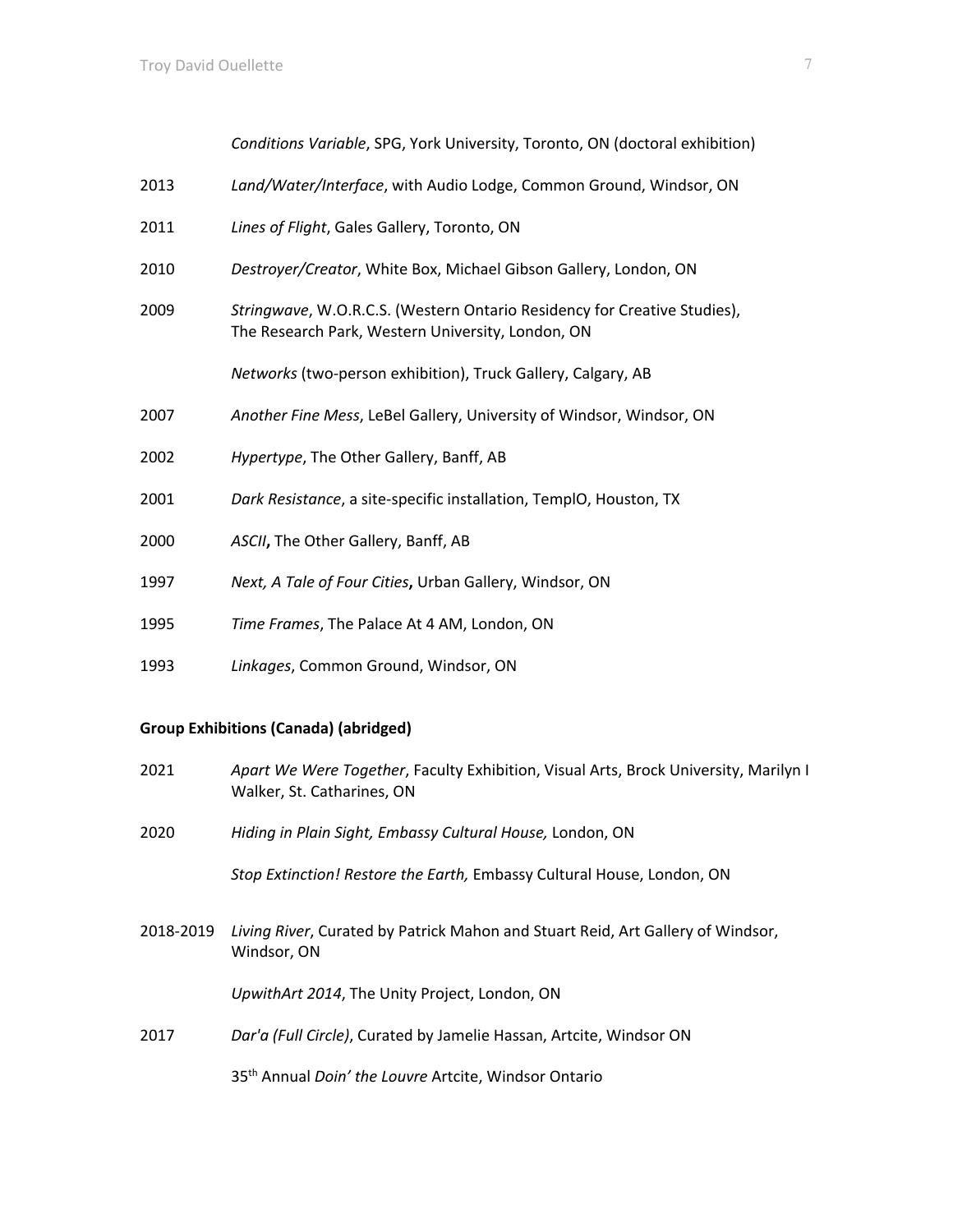| I<br>× |  |  |
|--------|--|--|
|        |  |  |
|        |  |  |
|        |  |  |
|        |  |  |

*Conditions Variable*, SPG, York University, Toronto, ON (doctoral exhibition)

- 2013 *Land/Water/Interface*, with Audio Lodge, Common Ground, Windsor, ON
- 2011 *Lines of Flight*, Gales Gallery, Toronto, ON
- 2010 *Destroyer/Creator*, White Box, Michael Gibson Gallery, London, ON
- 2009 *Stringwave*, W.O.R.C.S. (Western Ontario Residency for Creative Studies), The Research Park, Western University, London, ON

*Networks* (two-person exhibition), Truck Gallery, Calgary, AB

- 2007 *Another Fine Mess*, LeBel Gallery, University of Windsor, Windsor, ON
- 2002 *Hypertype*, The Other Gallery, Banff, AB
- 2001 *Dark Resistance*, a site-specific installation, TemplO, Houston, TX
- 2000 *ASCII***,** The Other Gallery, Banff, AB
- 1997 *Next, A Tale of Four Cities***,** Urban Gallery, Windsor, ON
- 1995 *Time Frames*, The Palace At 4 AM, London, ON
- 1993 *Linkages*, Common Ground, Windsor, ON

### **Group Exhibitions (Canada) (abridged)**

- 2021 *Apart We Were Together*, Faculty Exhibition, Visual Arts, Brock University, Marilyn I Walker, St. Catharines, ON
- 2020 *Hiding in Plain Sight, Embassy Cultural House,* London, ON

*Stop Extinction! Restore the Earth,* Embassy Cultural House, London, ON

2018-2019 *Living River*, Curated by Patrick Mahon and Stuart Reid, Art Gallery of Windsor, Windsor, ON

*UpwithArt 2014*, The Unity Project, London, ON

2017 *Dar'a (Full Circle)*, Curated by Jamelie Hassan, Artcite, Windsor ON

35th Annual *Doin' the Louvre* Artcite, Windsor Ontario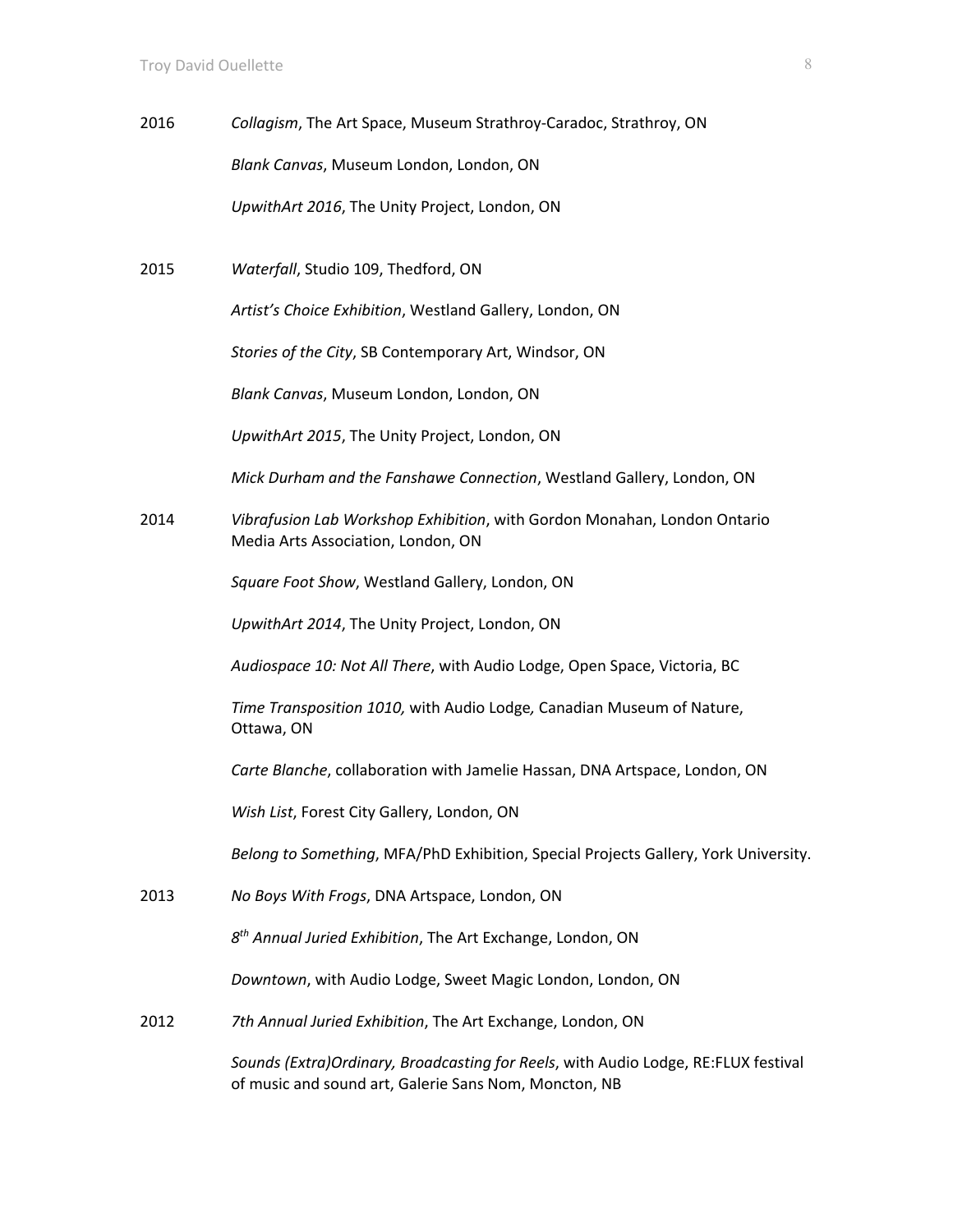2016 *Collagism*, The Art Space, Museum Strathroy-Caradoc, Strathroy, ON *Blank Canvas*, Museum London, London, ON *UpwithArt 2016*, The Unity Project, London, ON

2015 *Waterfall*, Studio 109, Thedford, ON

*Artist's Choice Exhibition*, Westland Gallery, London, ON

*Stories of the City*, SB Contemporary Art, Windsor, ON

*Blank Canvas*, Museum London, London, ON

*UpwithArt 2015*, The Unity Project, London, ON

*Mick Durham and the Fanshawe Connection*, Westland Gallery, London, ON

2014 *Vibrafusion Lab Workshop Exhibition*, with Gordon Monahan, London Ontario Media Arts Association, London, ON

*Square Foot Show*, Westland Gallery, London, ON

*UpwithArt 2014*, The Unity Project, London, ON

*Audiospace 10: Not All There*, with Audio Lodge, Open Space, Victoria, BC

*Time Transposition 1010,* with Audio Lodge*,* Canadian Museum of Nature, Ottawa, ON

*Carte Blanche*, collaboration with Jamelie Hassan, DNA Artspace, London, ON

*Wish List*, Forest City Gallery, London, ON

*Belong to Something*, MFA/PhD Exhibition, Special Projects Gallery, York University.

2013 *No Boys With Frogs*, DNA Artspace, London, ON

*8th Annual Juried Exhibition*, The Art Exchange, London, ON

*Downtown*, with Audio Lodge, Sweet Magic London, London, ON

2012 *7th Annual Juried Exhibition*, The Art Exchange, London, ON

*Sounds (Extra)Ordinary, Broadcasting for Reels*, with Audio Lodge, RE:FLUX festival of music and sound art, Galerie Sans Nom, Moncton, NB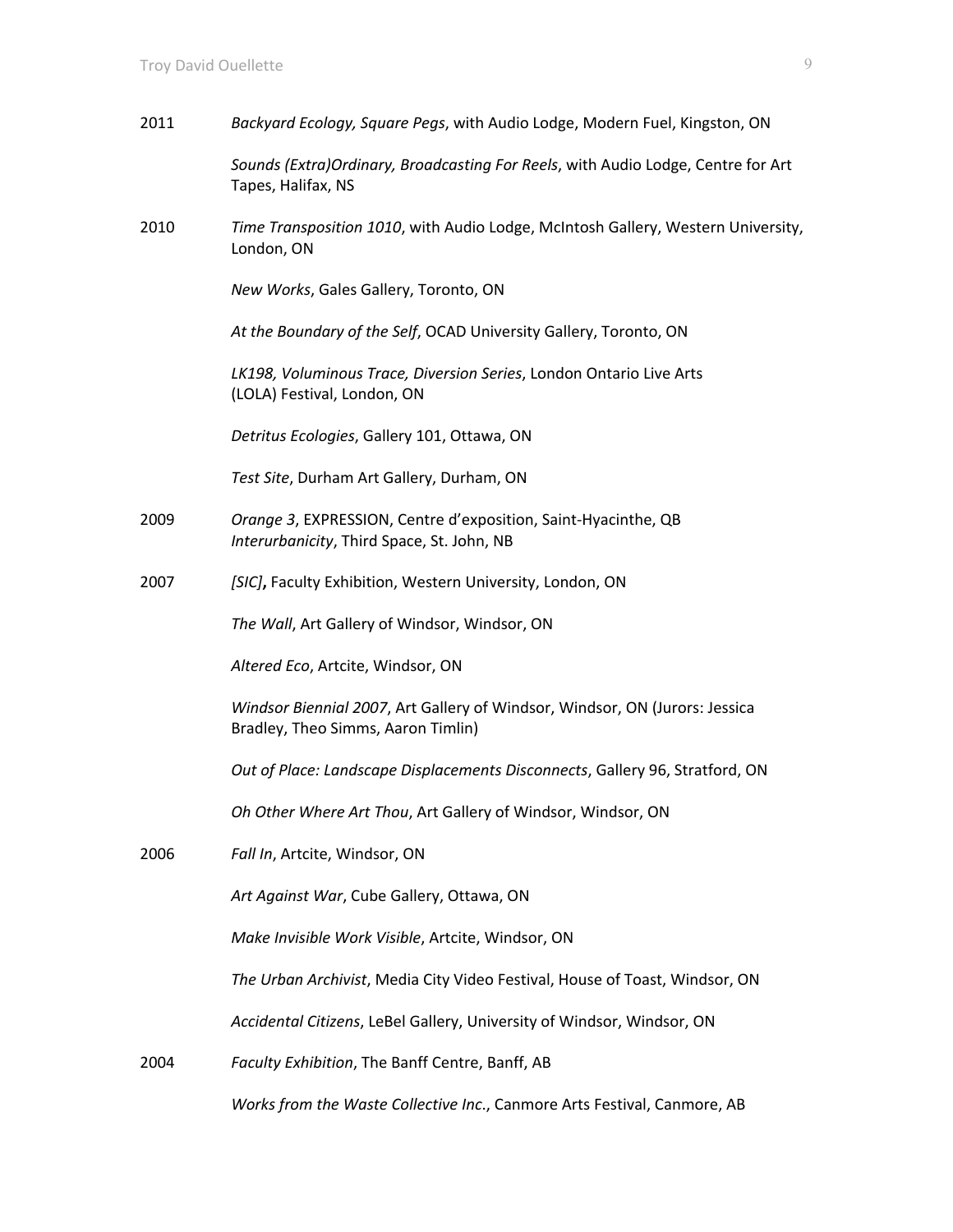| 2011 | Backyard Ecology, Square Pegs, with Audio Lodge, Modern Fuel, Kingston, ON                                        |
|------|-------------------------------------------------------------------------------------------------------------------|
|      | Sounds (Extra) Ordinary, Broadcasting For Reels, with Audio Lodge, Centre for Art<br>Tapes, Halifax, NS           |
| 2010 | Time Transposition 1010, with Audio Lodge, McIntosh Gallery, Western University,<br>London, ON                    |
|      | New Works, Gales Gallery, Toronto, ON                                                                             |
|      | At the Boundary of the Self, OCAD University Gallery, Toronto, ON                                                 |
|      | LK198, Voluminous Trace, Diversion Series, London Ontario Live Arts<br>(LOLA) Festival, London, ON                |
|      | Detritus Ecologies, Gallery 101, Ottawa, ON                                                                       |
|      | Test Site, Durham Art Gallery, Durham, ON                                                                         |
| 2009 | Orange 3, EXPRESSION, Centre d'exposition, Saint-Hyacinthe, QB<br>Interurbanicity, Third Space, St. John, NB      |
| 2007 | [SIC], Faculty Exhibition, Western University, London, ON                                                         |
|      | The Wall, Art Gallery of Windsor, Windsor, ON                                                                     |
|      | Altered Eco, Artcite, Windsor, ON                                                                                 |
|      | Windsor Biennial 2007, Art Gallery of Windsor, Windsor, ON (Jurors: Jessica<br>Bradley, Theo Simms, Aaron Timlin) |
|      | Out of Place: Landscape Displacements Disconnects, Gallery 96, Stratford, ON                                      |
|      | Oh Other Where Art Thou, Art Gallery of Windsor, Windsor, ON                                                      |
| 2006 | Fall In, Artcite, Windsor, ON                                                                                     |
|      | Art Against War, Cube Gallery, Ottawa, ON                                                                         |
|      | Make Invisible Work Visible, Artcite, Windsor, ON                                                                 |
|      | The Urban Archivist, Media City Video Festival, House of Toast, Windsor, ON                                       |
|      | Accidental Citizens, LeBel Gallery, University of Windsor, Windsor, ON                                            |
| 2004 | Faculty Exhibition, The Banff Centre, Banff, AB                                                                   |
|      |                                                                                                                   |

*Works from the Waste Collective Inc*., Canmore Arts Festival, Canmore, AB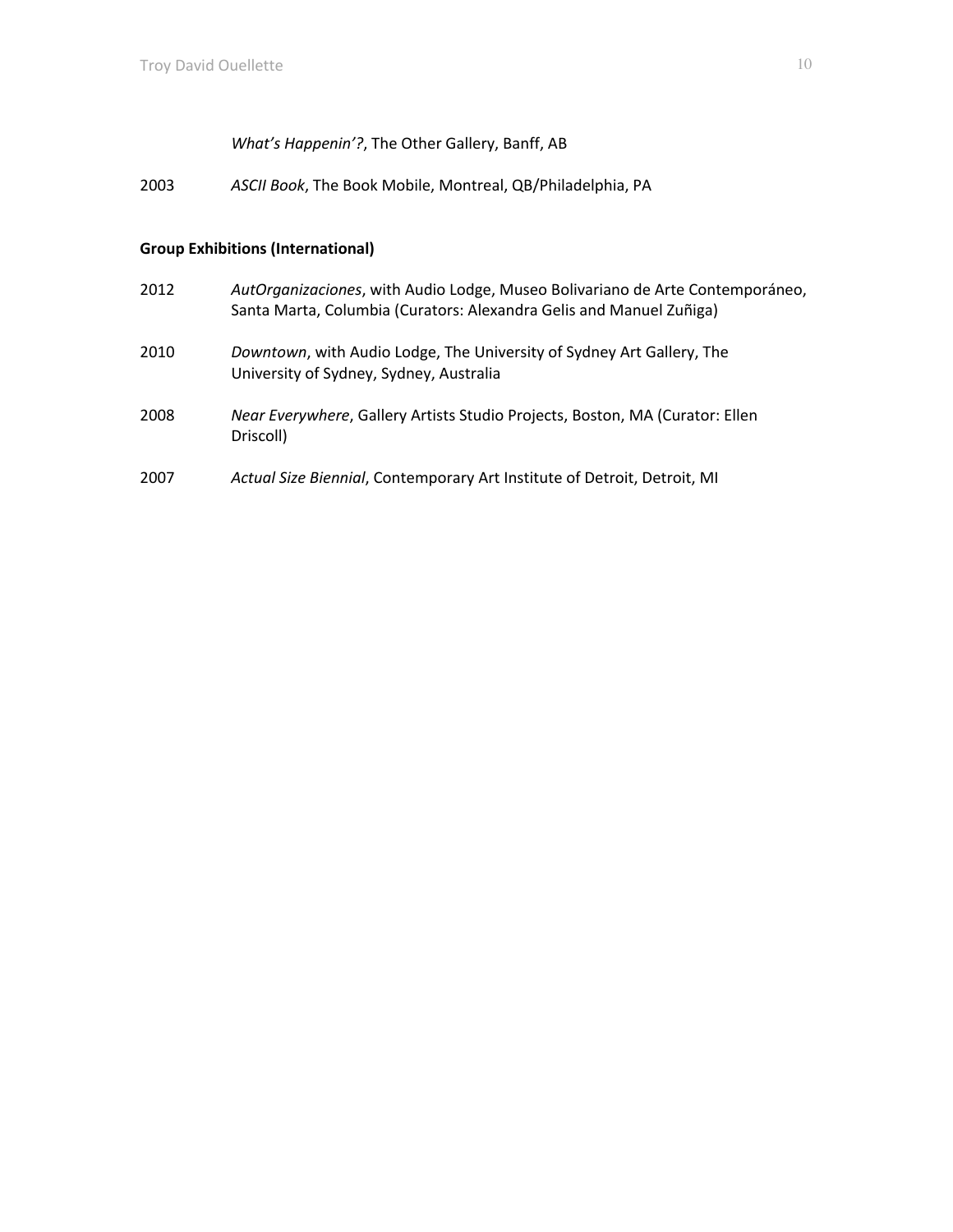*What's Happenin'?*, The Other Gallery, Banff, AB

2003 *ASCII Book*, The Book Mobile, Montreal, QB/Philadelphia, PA

# **Group Exhibitions (International)**

| 2012 | AutOrganizaciones, with Audio Lodge, Museo Bolivariano de Arte Contemporáneo,<br>Santa Marta, Columbia (Curators: Alexandra Gelis and Manuel Zuñiga) |
|------|------------------------------------------------------------------------------------------------------------------------------------------------------|
| 2010 | Downtown, with Audio Lodge, The University of Sydney Art Gallery, The<br>University of Sydney, Sydney, Australia                                     |
| 2008 | Near Everywhere, Gallery Artists Studio Projects, Boston, MA (Curator: Ellen<br>Driscoll)                                                            |
| 2007 | Actual Size Biennial, Contemporary Art Institute of Detroit, Detroit, MI                                                                             |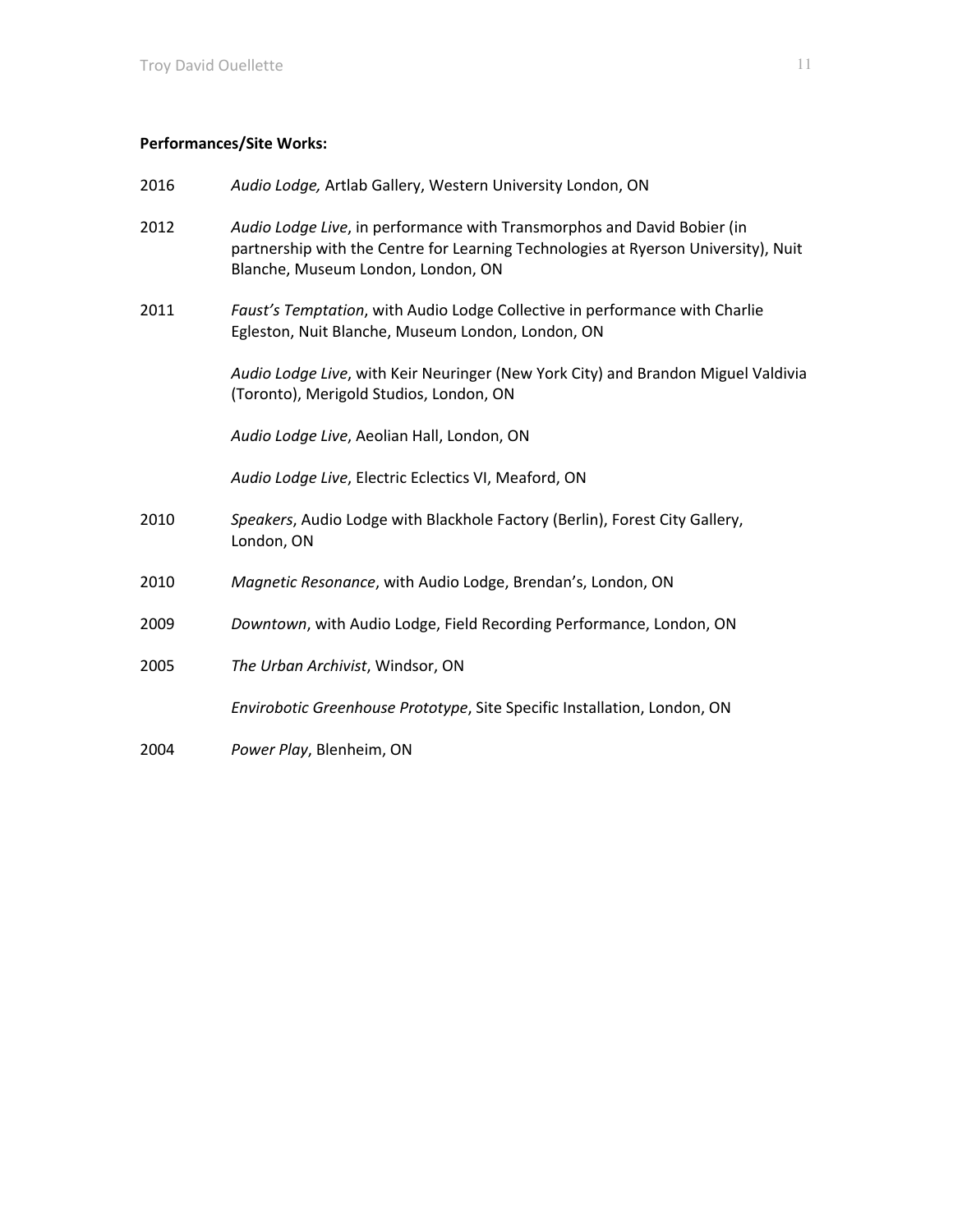# **Performances/Site Works:**

| 2016 | Audio Lodge, Artlab Gallery, Western University London, ON                                                                                                                                          |
|------|-----------------------------------------------------------------------------------------------------------------------------------------------------------------------------------------------------|
| 2012 | Audio Lodge Live, in performance with Transmorphos and David Bobier (in<br>partnership with the Centre for Learning Technologies at Ryerson University), Nuit<br>Blanche, Museum London, London, ON |
| 2011 | Faust's Temptation, with Audio Lodge Collective in performance with Charlie<br>Egleston, Nuit Blanche, Museum London, London, ON                                                                    |
|      | Audio Lodge Live, with Keir Neuringer (New York City) and Brandon Miguel Valdivia<br>(Toronto), Merigold Studios, London, ON                                                                        |
|      | Audio Lodge Live, Aeolian Hall, London, ON                                                                                                                                                          |
|      | Audio Lodge Live, Electric Eclectics VI, Meaford, ON                                                                                                                                                |
| 2010 | Speakers, Audio Lodge with Blackhole Factory (Berlin), Forest City Gallery,<br>London, ON                                                                                                           |
| 2010 | Magnetic Resonance, with Audio Lodge, Brendan's, London, ON                                                                                                                                         |
| 2009 | Downtown, with Audio Lodge, Field Recording Performance, London, ON                                                                                                                                 |
| 2005 | The Urban Archivist, Windsor, ON                                                                                                                                                                    |
|      | Envirobotic Greenhouse Prototype, Site Specific Installation, London, ON                                                                                                                            |
| 2004 | Power Play, Blenheim, ON                                                                                                                                                                            |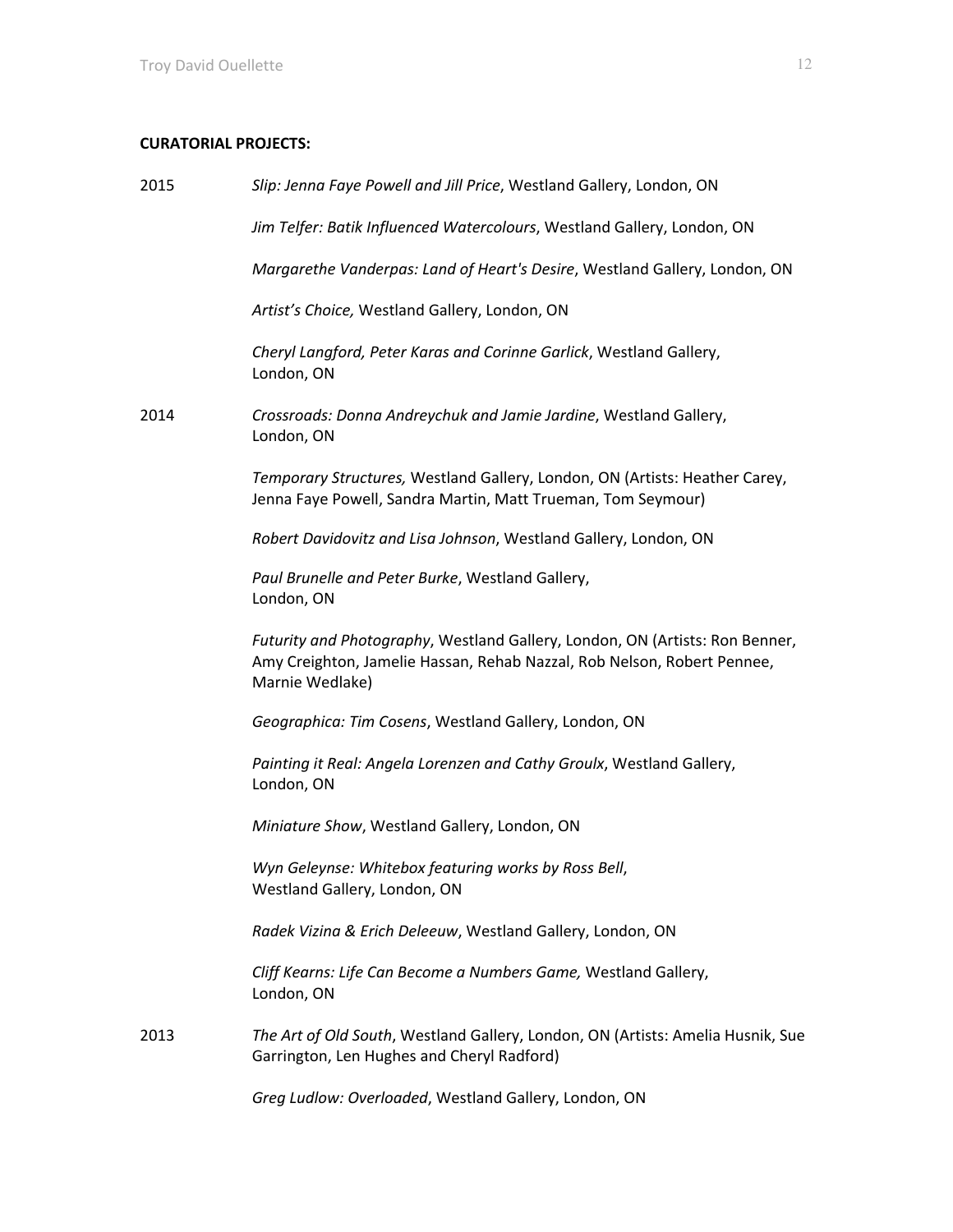# **CURATORIAL PROJECTS:**

| 2015 | Slip: Jenna Faye Powell and Jill Price, Westland Gallery, London, ON                                                                                                       |
|------|----------------------------------------------------------------------------------------------------------------------------------------------------------------------------|
|      | Jim Telfer: Batik Influenced Watercolours, Westland Gallery, London, ON                                                                                                    |
|      | Margarethe Vanderpas: Land of Heart's Desire, Westland Gallery, London, ON                                                                                                 |
|      | Artist's Choice, Westland Gallery, London, ON                                                                                                                              |
|      | Cheryl Langford, Peter Karas and Corinne Garlick, Westland Gallery,<br>London, ON                                                                                          |
| 2014 | Crossroads: Donna Andreychuk and Jamie Jardine, Westland Gallery,<br>London, ON                                                                                            |
|      | Temporary Structures, Westland Gallery, London, ON (Artists: Heather Carey,<br>Jenna Faye Powell, Sandra Martin, Matt Trueman, Tom Seymour)                                |
|      | Robert Davidovitz and Lisa Johnson, Westland Gallery, London, ON                                                                                                           |
|      | Paul Brunelle and Peter Burke, Westland Gallery,<br>London, ON                                                                                                             |
|      | Futurity and Photography, Westland Gallery, London, ON (Artists: Ron Benner,<br>Amy Creighton, Jamelie Hassan, Rehab Nazzal, Rob Nelson, Robert Pennee,<br>Marnie Wedlake) |
|      | Geographica: Tim Cosens, Westland Gallery, London, ON                                                                                                                      |
|      | Painting it Real: Angela Lorenzen and Cathy Groulx, Westland Gallery,<br>London, ON                                                                                        |
|      | Miniature Show, Westland Gallery, London, ON                                                                                                                               |
|      | Wyn Geleynse: Whitebox featuring works by Ross Bell,<br>Westland Gallery, London, ON                                                                                       |
|      | Radek Vizina & Erich Deleeuw, Westland Gallery, London, ON                                                                                                                 |
|      | Cliff Kearns: Life Can Become a Numbers Game, Westland Gallery,<br>London, ON                                                                                              |
| 2013 | The Art of Old South, Westland Gallery, London, ON (Artists: Amelia Husnik, Sue<br>Garrington, Len Hughes and Cheryl Radford)                                              |
|      | Greg Ludlow: Overloaded, Westland Gallery, London, ON                                                                                                                      |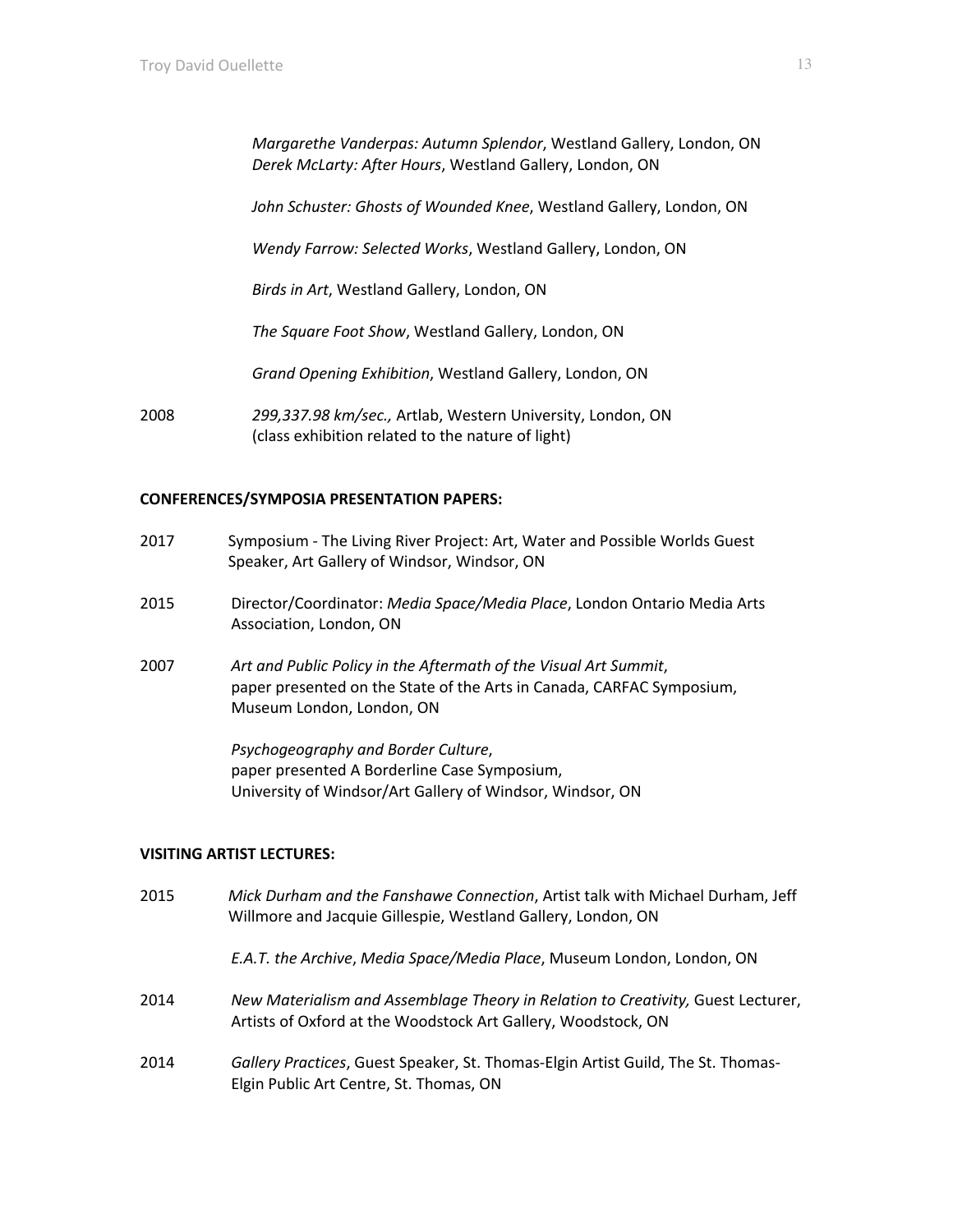*Margarethe Vanderpas: Autumn Splendor*, Westland Gallery, London, ON *Derek McLarty: After Hours*, Westland Gallery, London, ON

*John Schuster: Ghosts of Wounded Knee*, Westland Gallery, London, ON

*Wendy Farrow: Selected Works*, Westland Gallery, London, ON

*Birds in Art*, Westland Gallery, London, ON

*The Square Foot Show*, Westland Gallery, London, ON

*Grand Opening Exhibition*, Westland Gallery, London, ON

2008 *299,337.98 km/sec.,* Artlab, Western University, London, ON (class exhibition related to the nature of light)

#### **CONFERENCES/SYMPOSIA PRESENTATION PAPERS:**

- 2017 Symposium The Living River Project: Art, Water and Possible Worlds Guest Speaker, Art Gallery of Windsor, Windsor, ON
- 2015 Director/Coordinator: *Media Space/Media Place*, London Ontario Media Arts Association, London, ON
- 2007 *Art and Public Policy in the Aftermath of the Visual Art Summit*, paper presented on the State of the Arts in Canada, CARFAC Symposium, Museum London, London, ON

*Psychogeography and Border Culture*, paper presented A Borderline Case Symposium, University of Windsor/Art Gallery of Windsor, Windsor, ON

#### **VISITING ARTIST LECTURES:**

2015 *Mick Durham and the Fanshawe Connection*, Artist talk with Michael Durham, Jeff Willmore and Jacquie Gillespie, Westland Gallery, London, ON

*E.A.T. the Archive*, *Media Space/Media Place*, Museum London, London, ON

- 2014 *New Materialism and Assemblage Theory in Relation to Creativity,* Guest Lecturer, Artists of Oxford at the Woodstock Art Gallery, Woodstock, ON
- 2014 *Gallery Practices*, Guest Speaker, St. Thomas-Elgin Artist Guild, The St. Thomas-Elgin Public Art Centre, St. Thomas, ON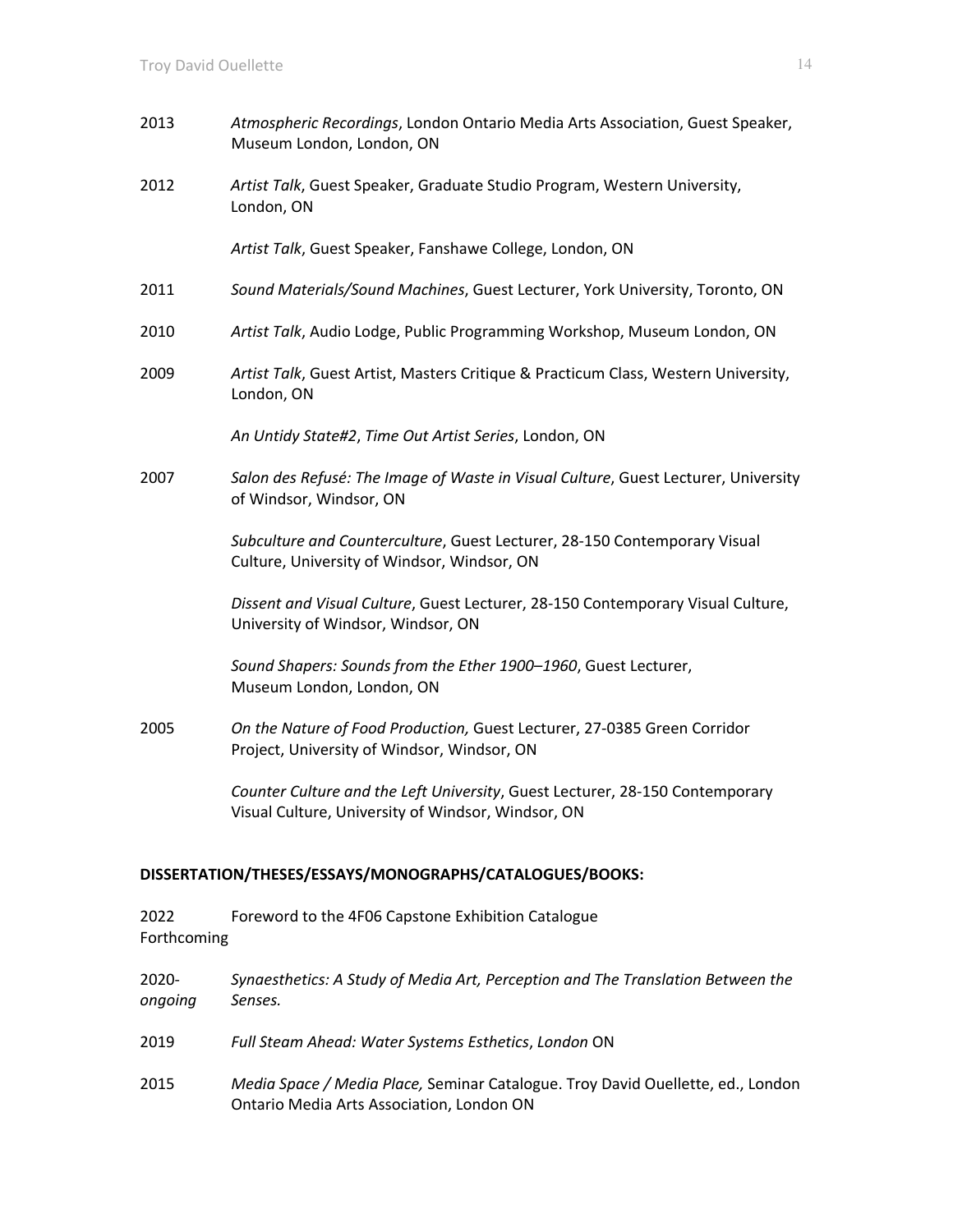2013 *Atmospheric Recordings*, London Ontario Media Arts Association, Guest Speaker, Museum London, London, ON 2012 *Artist Talk*, Guest Speaker, Graduate Studio Program, Western University, London, ON *Artist Talk*, Guest Speaker, Fanshawe College, London, ON 2011 *Sound Materials/Sound Machines*, Guest Lecturer, York University, Toronto, ON 2010 *Artist Talk*, Audio Lodge, Public Programming Workshop, Museum London, ON 2009 *Artist Talk*, Guest Artist, Masters Critique & Practicum Class, Western University, London, ON *An Untidy State#2*, *Time Out Artist Series*, London, ON 2007 *Salon des Refusé: The Image of Waste in Visual Culture*, Guest Lecturer, University of Windsor, Windsor, ON *Subculture and Counterculture*, Guest Lecturer, 28-150 Contemporary Visual Culture, University of Windsor, Windsor, ON *Dissent and Visual Culture*, Guest Lecturer, 28-150 Contemporary Visual Culture, University of Windsor, Windsor, ON *Sound Shapers: Sounds from the Ether 1900–1960*, Guest Lecturer, Museum London, London, ON 2005 *On the Nature of Food Production,* Guest Lecturer, 27-0385 Green Corridor Project, University of Windsor, Windsor, ON *Counter Culture and the Left University*, Guest Lecturer, 28-150 Contemporary Visual Culture, University of Windsor, Windsor, ON

# **DISSERTATION/THESES/ESSAYS/MONOGRAPHS/CATALOGUES/BOOKS:**

2022 Foreword to the 4F06 Capstone Exhibition Catalogue Forthcoming

| $2020 -$<br>ongoing | Synaesthetics: A Study of Media Art, Perception and The Translation Between the<br>Senses.                                   |
|---------------------|------------------------------------------------------------------------------------------------------------------------------|
| 2019                | Full Steam Ahead: Water Systems Esthetics, London ON                                                                         |
| 2015                | Media Space / Media Place, Seminar Catalogue. Troy David Ouellette, ed., London<br>Ontario Media Arts Association, London ON |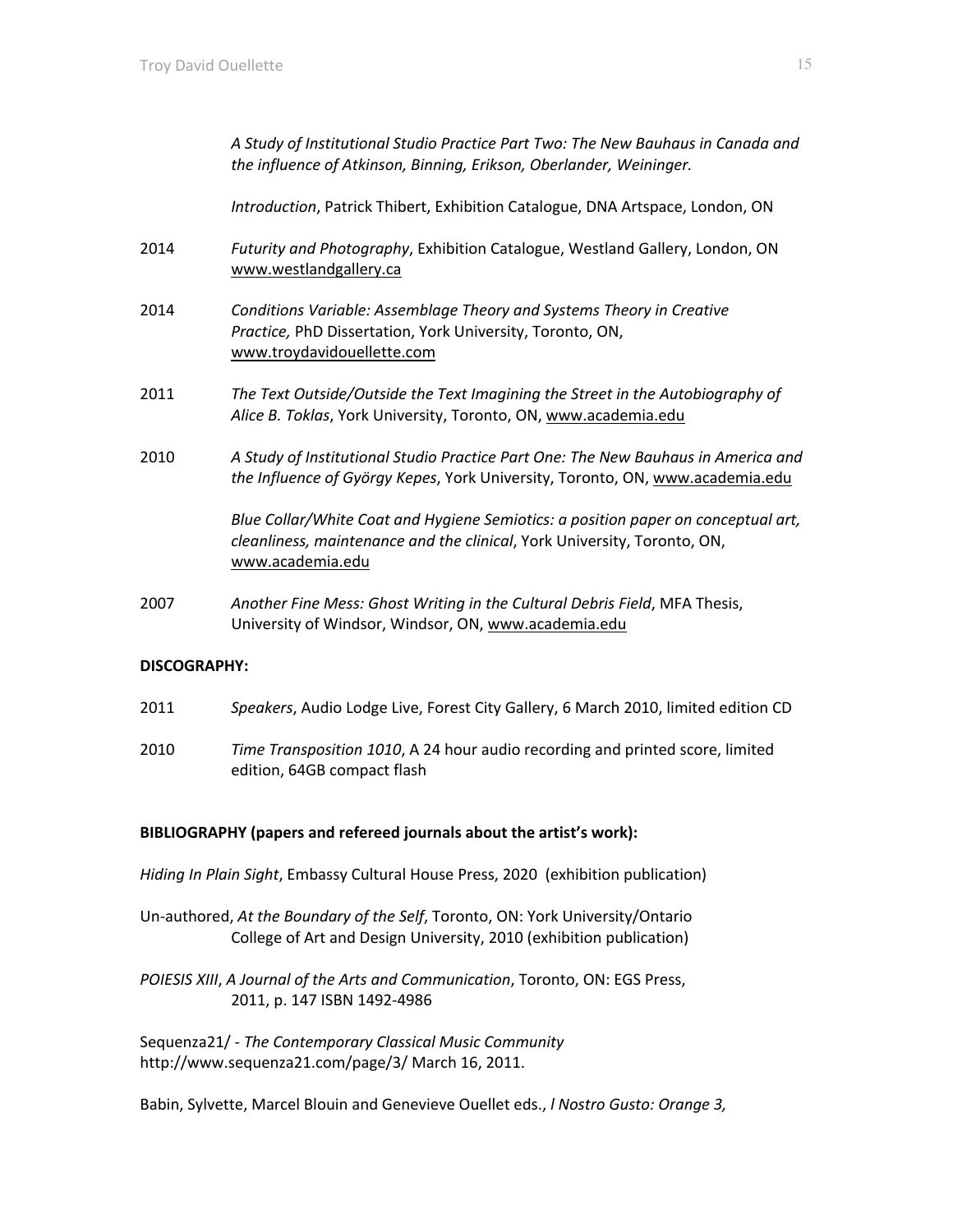*A Study of Institutional Studio Practice Part Two: The New Bauhaus in Canada and the influence of Atkinson, Binning, Erikson, Oberlander, Weininger.*

*Introduction*, Patrick Thibert, Exhibition Catalogue, DNA Artspace, London, ON

- 2014 *Futurity and Photography*, Exhibition Catalogue, Westland Gallery, London, ON www.westlandgallery.ca
- 2014 *Conditions Variable: Assemblage Theory and Systems Theory in Creative Practice,* PhD Dissertation, York University, Toronto, ON, www.troydavidouellette.com
- 2011 *The Text Outside/Outside the Text Imagining the Street in the Autobiography of Alice B. Toklas*, York University, Toronto, ON, www.academia.edu
- 2010 *A Study of Institutional Studio Practice Part One: The New Bauhaus in America and the Influence of György Kepes*, York University, Toronto, ON, www.academia.edu

*Blue Collar/White Coat and Hygiene Semiotics: a position paper on conceptual art, cleanliness, maintenance and the clinical*, York University, Toronto, ON, www.academia.edu

2007 *Another Fine Mess: Ghost Writing in the Cultural Debris Field*, MFA Thesis, University of Windsor, Windsor, ON, www.academia.edu

# **DISCOGRAPHY:**

- 2011 *Speakers*, Audio Lodge Live, Forest City Gallery, 6 March 2010, limited edition CD
- 2010 *Time Transposition 1010*, A 24 hour audio recording and printed score, limited edition, 64GB compact flash

#### **BIBLIOGRAPHY (papers and refereed journals about the artist's work):**

*Hiding In Plain Sight*, Embassy Cultural House Press, 2020 (exhibition publication)

- Un-authored, *At the Boundary of the Self*, Toronto, ON: York University/Ontario College of Art and Design University, 2010 (exhibition publication)
- *POIESIS XIII*, *A Journal of the Arts and Communication*, Toronto, ON: EGS Press, 2011, p. 147 ISBN 1492-4986

Sequenza21/ - *The Contemporary Classical Music Community* http://www.sequenza21.com/page/3/ March 16, 2011.

Babin, Sylvette, Marcel Blouin and Genevieve Ouellet eds., *l Nostro Gusto: Orange 3,*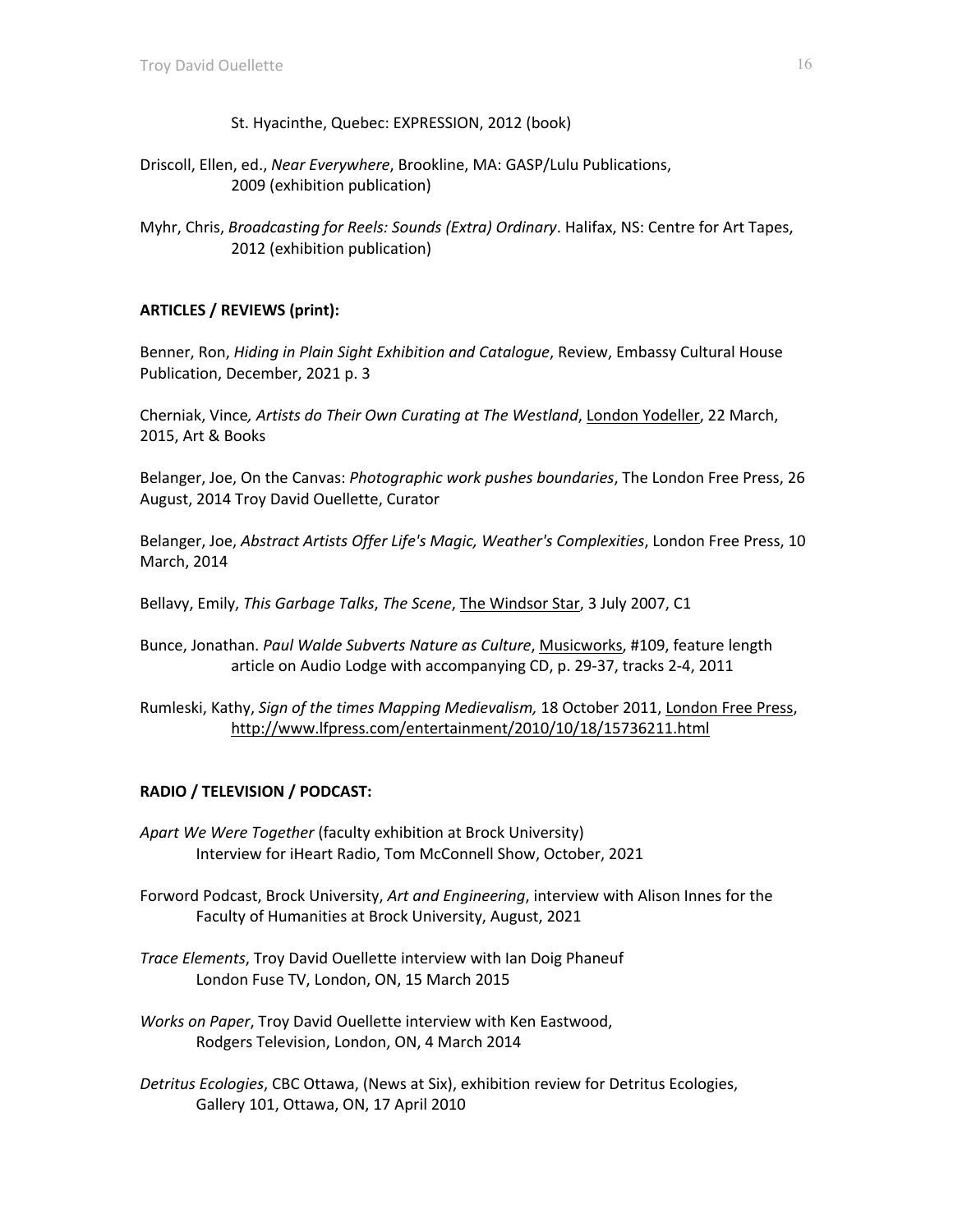- St. Hyacinthe, Quebec: EXPRESSION, 2012 (book)
- Driscoll, Ellen, ed., *Near Everywhere*, Brookline, MA: GASP/Lulu Publications, 2009 (exhibition publication)
- Myhr, Chris, *Broadcasting for Reels: Sounds (Extra) Ordinary*. Halifax, NS: Centre for Art Tapes, 2012 (exhibition publication)

# **ARTICLES / REVIEWS (print):**

Benner, Ron, *Hiding in Plain Sight Exhibition and Catalogue*, Review, Embassy Cultural House Publication, December, 2021 p. 3

Cherniak, Vince*, Artists do Their Own Curating at The Westland*, London Yodeller, 22 March, 2015, Art & Books

Belanger, Joe, On the Canvas: *Photographic work pushes boundaries*, The London Free Press, 26 August, 2014 Troy David Ouellette, Curator

Belanger, Joe, *Abstract Artists Offer Life's Magic, Weather's Complexities*, London Free Press, 10 March, 2014

Bellavy, Emily, *This Garbage Talks*, *The Scene*, The Windsor Star, 3 July 2007, C1

Bunce, Jonathan. *Paul Walde Subverts Nature as Culture*, Musicworks, #109, feature length article on Audio Lodge with accompanying CD, p. 29-37, tracks 2-4, 2011

Rumleski, Kathy, *Sign of the times Mapping Medievalism,* 18 October 2011, London Free Press, http://www.lfpress.com/entertainment/2010/10/18/15736211.html

# **RADIO / TELEVISION / PODCAST:**

- *Apart We Were Together* (faculty exhibition at Brock University) Interview for iHeart Radio, Tom McConnell Show, October, 2021
- Forword Podcast, Brock University, *Art and Engineering*, interview with Alison Innes for the Faculty of Humanities at Brock University, August, 2021
- *Trace Elements*, Troy David Ouellette interview with Ian Doig Phaneuf London Fuse TV, London, ON, 15 March 2015
- *Works on Paper*, Troy David Ouellette interview with Ken Eastwood, Rodgers Television, London, ON, 4 March 2014
- *Detritus Ecologies*, CBC Ottawa, (News at Six), exhibition review for Detritus Ecologies, Gallery 101, Ottawa, ON, 17 April 2010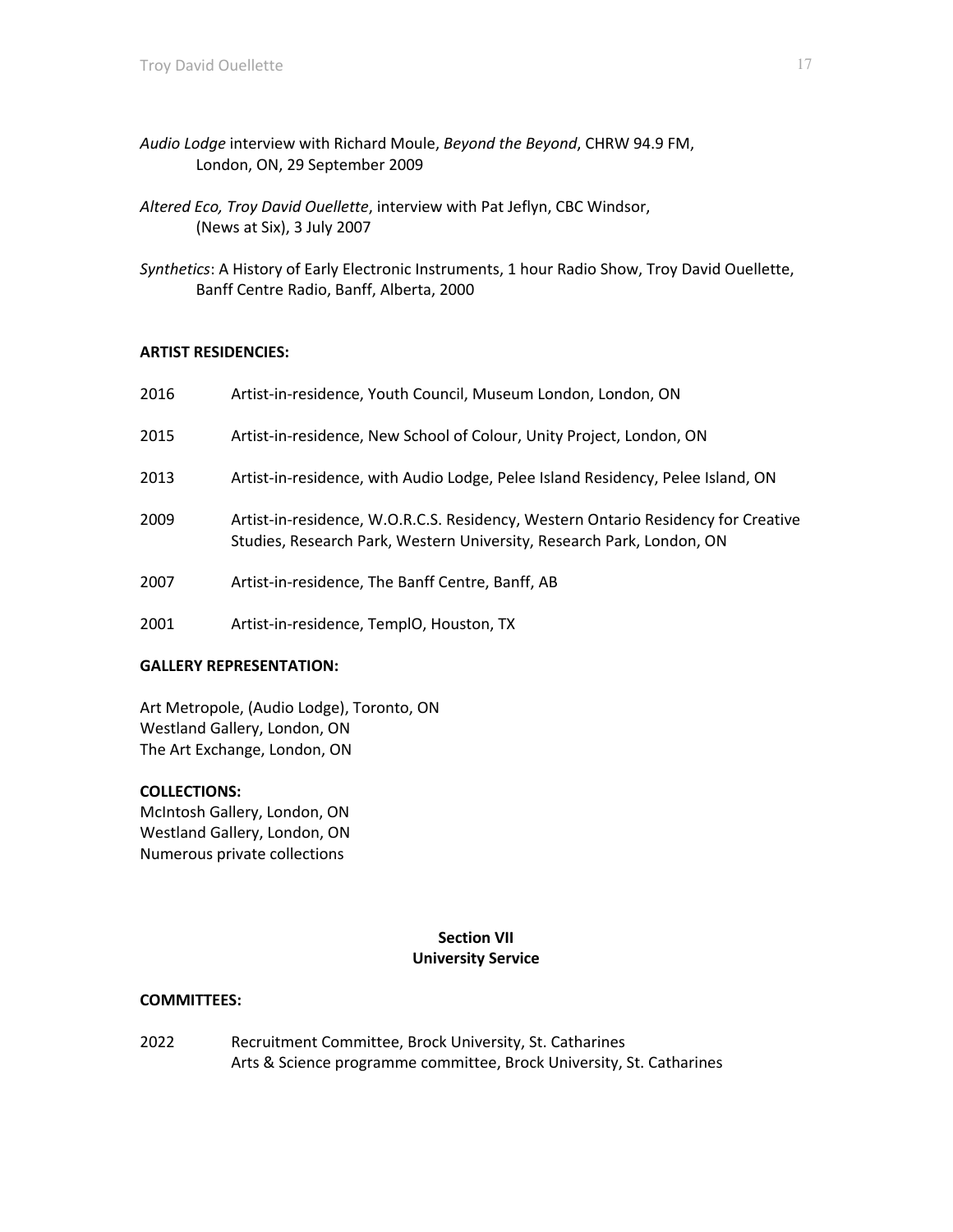- *Audio Lodge* interview with Richard Moule, *Beyond the Beyond*, CHRW 94.9 FM, London, ON, 29 September 2009
- *Altered Eco, Troy David Ouellette*, interview with Pat Jeflyn, CBC Windsor, (News at Six), 3 July 2007
- *Synthetics*: A History of Early Electronic Instruments, 1 hour Radio Show, Troy David Ouellette, Banff Centre Radio, Banff, Alberta, 2000

# **ARTIST RESIDENCIES:**

| 2016 | Artist-in-residence, Youth Council, Museum London, London, ON                                                                                              |
|------|------------------------------------------------------------------------------------------------------------------------------------------------------------|
| 2015 | Artist-in-residence, New School of Colour, Unity Project, London, ON                                                                                       |
| 2013 | Artist-in-residence, with Audio Lodge, Pelee Island Residency, Pelee Island, ON                                                                            |
| 2009 | Artist-in-residence, W.O.R.C.S. Residency, Western Ontario Residency for Creative<br>Studies, Research Park, Western University, Research Park, London, ON |
| 2007 | Artist-in-residence, The Banff Centre, Banff, AB                                                                                                           |
| 2001 | Artist-in-residence, TemplO, Houston, TX                                                                                                                   |

# **GALLERY REPRESENTATION:**

Art Metropole, (Audio Lodge), Toronto, ON Westland Gallery, London, ON The Art Exchange, London, ON

#### **COLLECTIONS:**

McIntosh Gallery, London, ON Westland Gallery, London, ON Numerous private collections

# **Section VII University Service**

#### **COMMITTEES:**

2022 Recruitment Committee, Brock University, St. Catharines Arts & Science programme committee, Brock University, St. Catharines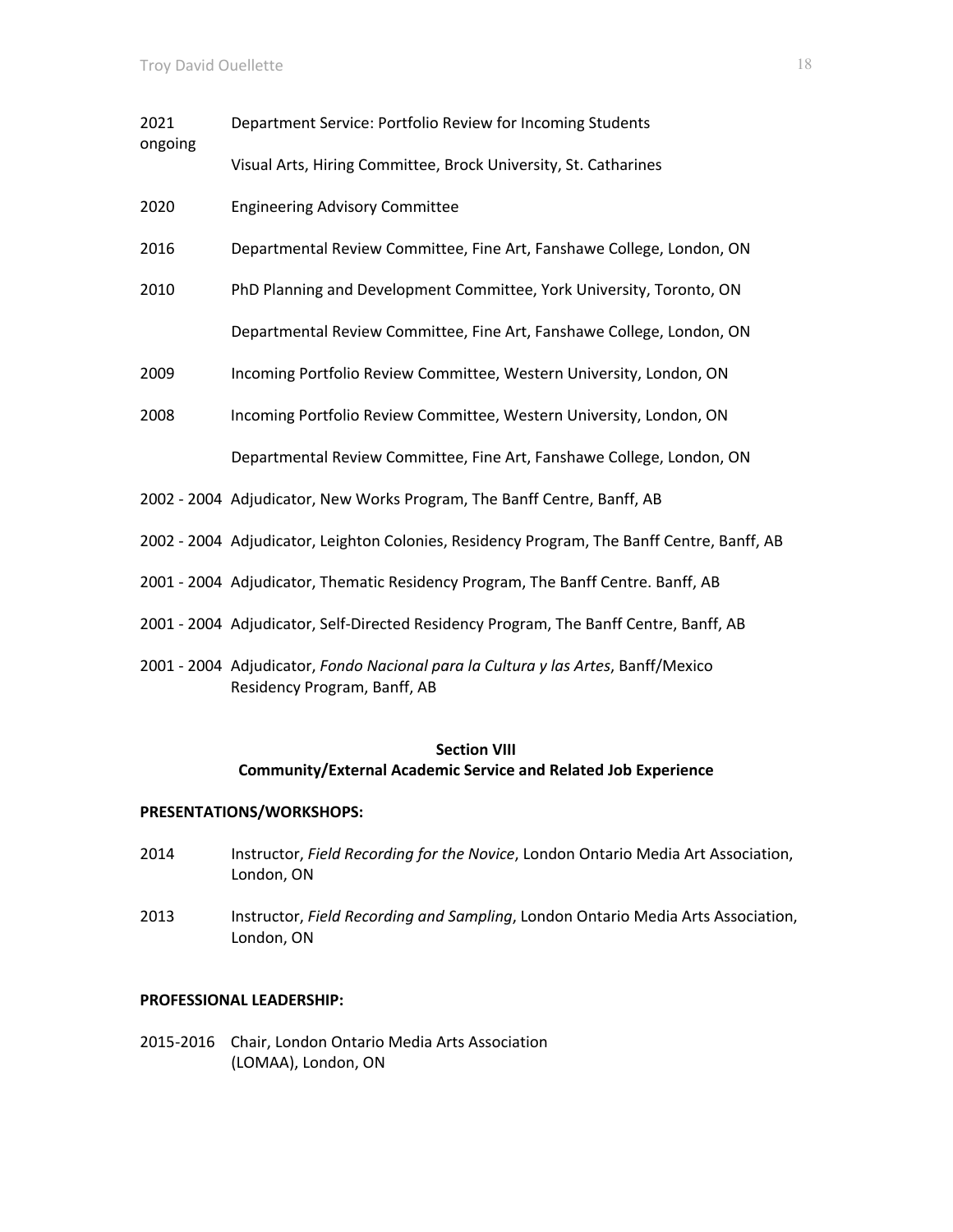| 2021<br>ongoing | Department Service: Portfolio Review for Incoming Students                                 |
|-----------------|--------------------------------------------------------------------------------------------|
|                 | Visual Arts, Hiring Committee, Brock University, St. Catharines                            |
| 2020            | <b>Engineering Advisory Committee</b>                                                      |
| 2016            | Departmental Review Committee, Fine Art, Fanshawe College, London, ON                      |
| 2010            | PhD Planning and Development Committee, York University, Toronto, ON                       |
|                 | Departmental Review Committee, Fine Art, Fanshawe College, London, ON                      |
| 2009            | Incoming Portfolio Review Committee, Western University, London, ON                        |
| 2008            | Incoming Portfolio Review Committee, Western University, London, ON                        |
|                 | Departmental Review Committee, Fine Art, Fanshawe College, London, ON                      |
|                 | 2002 - 2004 Adjudicator, New Works Program, The Banff Centre, Banff, AB                    |
|                 | 2002 - 2004 Adjudicator, Leighton Colonies, Residency Program, The Banff Centre, Banff, AB |
|                 | 2001 - 2004 Adjudicator, Thematic Residency Program, The Banff Centre. Banff, AB           |
|                 | 2001 - 2004 Adjudicator, Self-Directed Residency Program, The Banff Centre, Banff, AB      |
|                 |                                                                                            |

2001 - 2004 Adjudicator, *Fondo Nacional para la Cultura y las Artes*, Banff/Mexico Residency Program, Banff, AB

# **Section VIII Community/External Academic Service and Related Job Experience**

#### **PRESENTATIONS/WORKSHOPS:**

- 2014 Instructor, *Field Recording for the Novice*, London Ontario Media Art Association, London, ON
- 2013 Instructor, *Field Recording and Sampling*, London Ontario Media Arts Association, London, ON

### **PROFESSIONAL LEADERSHIP:**

2015-2016 Chair, London Ontario Media Arts Association (LOMAA), London, ON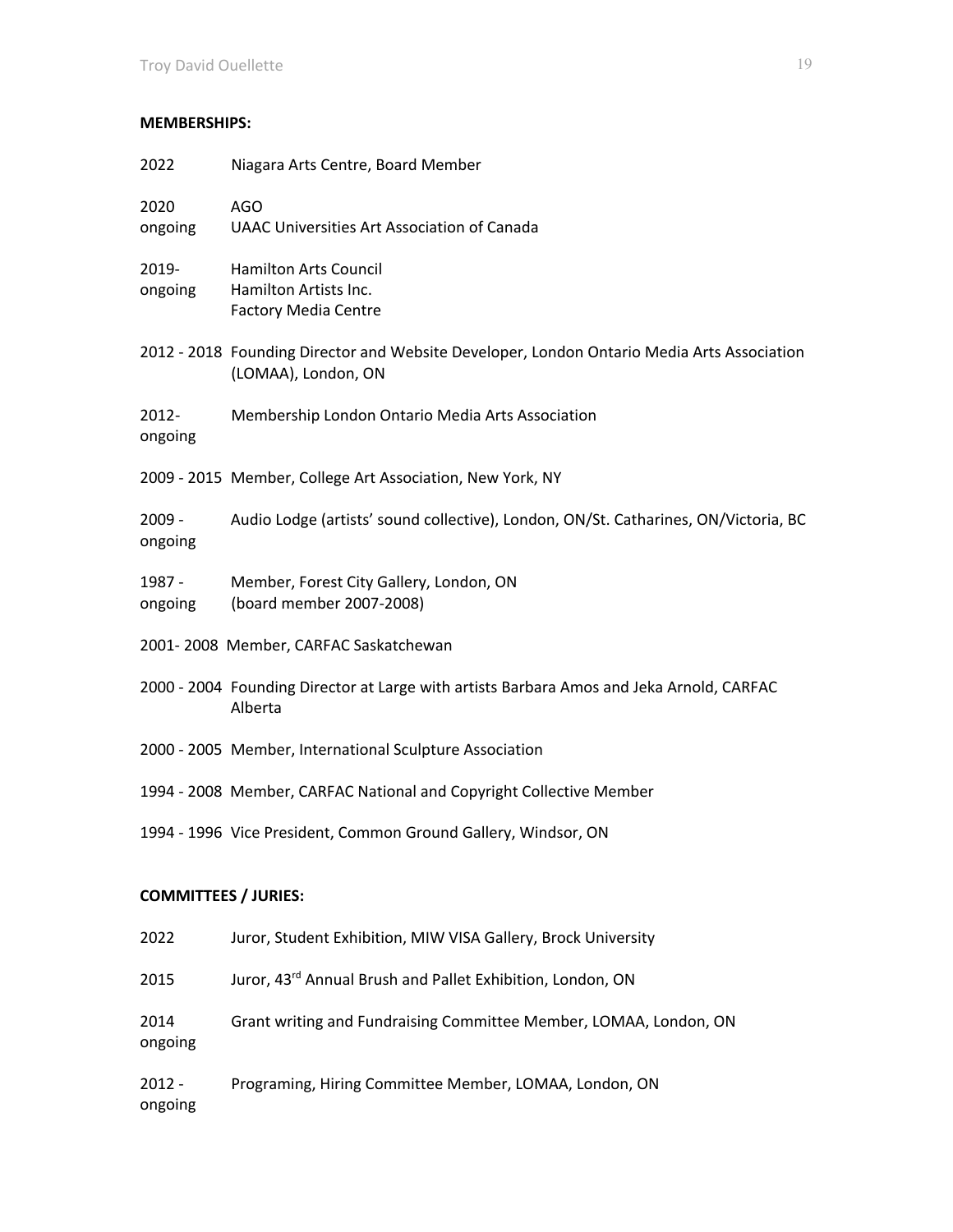# **MEMBERSHIPS:**

| 2022                        | Niagara Arts Centre, Board Member                                                                                 |  |  |
|-----------------------------|-------------------------------------------------------------------------------------------------------------------|--|--|
| 2020<br>ongoing             | <b>AGO</b><br><b>UAAC Universities Art Association of Canada</b>                                                  |  |  |
| 2019-<br>ongoing            | <b>Hamilton Arts Council</b><br>Hamilton Artists Inc.<br><b>Factory Media Centre</b>                              |  |  |
|                             | 2012 - 2018 Founding Director and Website Developer, London Ontario Media Arts Association<br>(LOMAA), London, ON |  |  |
| 2012-<br>ongoing            | Membership London Ontario Media Arts Association                                                                  |  |  |
|                             | 2009 - 2015 Member, College Art Association, New York, NY                                                         |  |  |
| $2009 -$<br>ongoing         | Audio Lodge (artists' sound collective), London, ON/St. Catharines, ON/Victoria, BC                               |  |  |
| 1987 -<br>ongoing           | Member, Forest City Gallery, London, ON<br>(board member 2007-2008)                                               |  |  |
|                             | 2001-2008 Member, CARFAC Saskatchewan                                                                             |  |  |
|                             | 2000 - 2004 Founding Director at Large with artists Barbara Amos and Jeka Arnold, CARFAC<br>Alberta               |  |  |
|                             | 2000 - 2005 Member, International Sculpture Association                                                           |  |  |
|                             | 1994 - 2008 Member, CARFAC National and Copyright Collective Member                                               |  |  |
|                             | 1994 - 1996 Vice President, Common Ground Gallery, Windsor, ON                                                    |  |  |
| <b>COMMITTEES / JURIES:</b> |                                                                                                                   |  |  |
| 2022                        | Juror, Student Exhibition, MIW VISA Gallery, Brock University                                                     |  |  |
| 2015                        | Juror, 43rd Annual Brush and Pallet Exhibition, London, ON                                                        |  |  |
| 2014<br>ongoing             | Grant writing and Fundraising Committee Member, LOMAA, London, ON                                                 |  |  |
| $2012 -$                    | Programing, Hiring Committee Member, LOMAA, London, ON                                                            |  |  |

ongoing